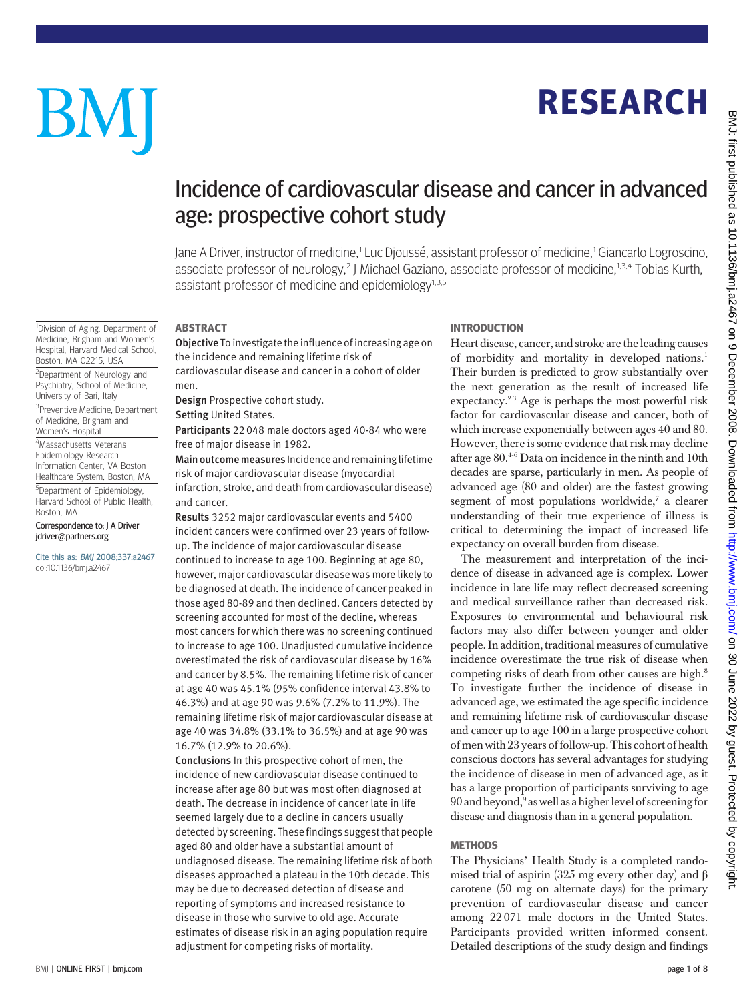# **RESEARCH** RESEARCH

# BM

# Incidence of cardiovascular disease and cancer in advanced age: prospective cohort study

Jane A Driver, instructor of medicine,<sup>1</sup> Luc Djoussé, assistant professor of medicine,<sup>1</sup> Giancarlo Logroscino, associate professor of neurology,<sup>2</sup> J Michael Gaziano, associate professor of medicine,<sup>1,3,4</sup> Tobias Kurth, assistant professor of medicine and epidemiology $1,3,5$ 

<sup>1</sup>Division of Aging, Department of Medicine, Brigham and Women's Hospital, Harvard Medical School, Boston, MA 02215, USA

<sup>2</sup>Department of Neurology and Psychiatry, School of Medicine, University of Bari, Italy

<sup>3</sup>Preventive Medicine, Department of Medicine, Brigham and Women's Hospital 4 Massachusetts Veterans

Epidemiology Research Information Center, VA Boston Healthcare System, Boston, MA <sup>5</sup>Department of Epidemiology, Harvard School of Public Health,

Boston, MA Correspondence to: J A Driver jdriver@partners.org

Cite this as: BMJ 2008;337:a2467 doi:10.1136/bmj.a2467

**ABSTRACT** -----------<br>**Objective** To investigate the influence of increasing age on the incidence and remaining lifetime risk of cardiovascular disease and cancer in a cohort of older men.

Design Prospective cohort study.

Setting United States.

Participants 22 048 male doctors aged 40-84 who were free of major disease in 1982.

Main outcome measures Incidence and remaining lifetime risk of major cardiovascular disease (myocardial infarction, stroke, and death from cardiovascular disease) and cancer.

Results 3252 major cardiovascular events and 5400 incident cancers were confirmed over 23 years of followup. The incidence of major cardiovascular disease continued to increase to age 100. Beginning at age 80, however, major cardiovascular disease was more likely to be diagnosed at death. The incidence of cancer peaked in those aged 80-89 and then declined. Cancers detected by screening accounted for most of the decline, whereas most cancers for which there was no screening continued to increase to age 100. Unadjusted cumulative incidence overestimated the risk of cardiovascular disease by 16% and cancer by 8.5%. The remaining lifetime risk of cancer at age 40 was 45.1% (95% confidence interval 43.8% to 46.3%) and at age 90 was 9.6% (7.2% to 11.9%). The remaining lifetime risk of major cardiovascular disease at age 40 was 34.8% (33.1% to 36.5%) and at age 90 was 16.7% (12.9% to 20.6%).

Conclusions In this prospective cohort of men, the incidence of new cardiovascular disease continued to increase after age 80 but was most often diagnosed at death. The decrease in incidence of cancer late in life seemed largely due to a decline in cancers usually detected by screening. These findings suggest that people aged 80 and older have a substantial amount of undiagnosed disease. The remaining lifetime risk of both diseases approached a plateau in the 10th decade. This may be due to decreased detection of disease and reporting of symptoms and increased resistance to disease in those who survive to old age. Accurate estimates of disease risk in an aging population require adjustment for competing risks of mortality.

## **INTRODUCTION**

INTRODUCTION Heart disease, cancer, and stroke are the leading causes of morbidity and mortality in developed nations.<sup>1</sup> Their burden is predicted to grow substantially over the next generation as the result of increased life expectancy.<sup>23</sup> Age is perhaps the most powerful risk factor for cardiovascular disease and cancer, both of which increase exponentially between ages 40 and 80. However, there is some evidence that risk may decline after age 80.4-6 Data on incidence in the ninth and 10th decades are sparse, particularly in men. As people of advanced age (80 and older) are the fastest growing segment of most populations worldwide, $7$  a clearer understanding of their true experience of illness is critical to determining the impact of increased life expectancy on overall burden from disease.

The measurement and interpretation of the incidence of disease in advanced age is complex. Lower incidence in late life may reflect decreased screening and medical surveillance rather than decreased risk. Exposures to environmental and behavioural risk factors may also differ between younger and older people. In addition, traditional measures of cumulative incidence overestimate the true risk of disease when competing risks of death from other causes are high.8 To investigate further the incidence of disease in advanced age, we estimated the age specific incidence and remaining lifetime risk of cardiovascular disease and cancer up to age 100 in a large prospective cohort of men with 23 years of follow-up. This cohort of health conscious doctors has several advantages for studying the incidence of disease in men of advanced age, as it has a large proportion of participants surviving to age 90 and beyond,<sup>9</sup> as well as a higher level of screening for disease and diagnosis than in a general population.

## **METHODS**

The Physicians' Health Study is a completed randomised trial of aspirin (325 mg every other day) and β carotene (50 mg on alternate days) for the primary prevention of cardiovascular disease and cancer among 22 071 male doctors in the United States. Participants provided written informed consent. Detailed descriptions of the study design and findings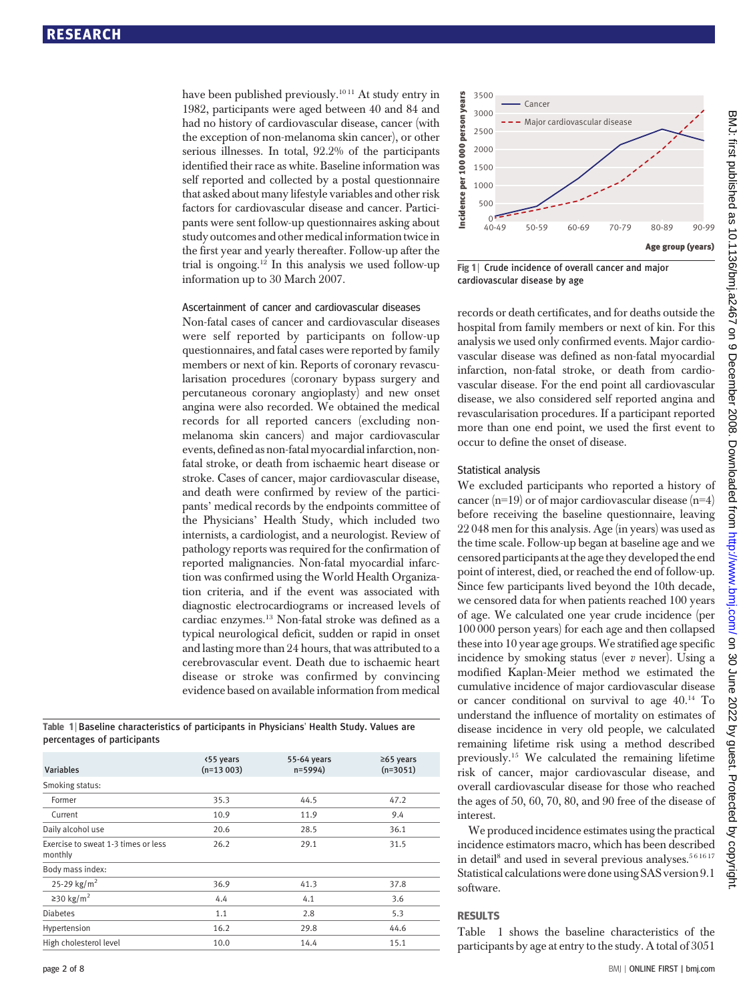have been published previously.<sup>1011</sup> At study entry in 1982, participants were aged between 40 and 84 and had no history of cardiovascular disease, cancer (with the exception of non-melanoma skin cancer), or other serious illnesses. In total, 92.2% of the participants identified their race as white. Baseline information was self reported and collected by a postal questionnaire that asked about many lifestyle variables and other risk factors for cardiovascular disease and cancer. Participants were sent follow-up questionnaires asking about study outcomes and other medical informationtwice in the first year and yearly thereafter. Follow-up after the trial is ongoing.12 In this analysis we used follow-up information up to 30 March 2007.

### Ascertainment of cancer and cardiovascular diseases

Non-fatal cases of cancer and cardiovascular diseases were self reported by participants on follow-up questionnaires, and fatal cases were reported by family members or next of kin. Reports of coronary revascularisation procedures (coronary bypass surgery and percutaneous coronary angioplasty) and new onset angina were also recorded. We obtained the medical records for all reported cancers (excluding nonmelanoma skin cancers) and major cardiovascular events, defined as non-fatal myocardial infarction, nonfatal stroke, or death from ischaemic heart disease or stroke. Cases of cancer, major cardiovascular disease, and death were confirmed by review of the participants' medical records by the endpoints committee of the Physicians' Health Study, which included two internists, a cardiologist, and a neurologist. Review of pathology reports was required for the confirmation of reported malignancies. Non-fatal myocardial infarction was confirmed using the World Health Organization criteria, and if the event was associated with diagnostic electrocardiograms or increased levels of cardiac enzymes.13 Non-fatal stroke was defined as a typical neurological deficit, sudden or rapid in onset and lasting more than 24 hours, that was attributed to a cerebrovascular event. Death due to ischaemic heart disease or stroke was confirmed by convincing evidence based on available information from medical

Table 1 <sup>|</sup> Baseline characteristics of participants in Physicians' Health Study. Values are percentages of participants

| <b>Variables</b>                               | <55 years<br>$(n=13003)$ | 55-64 years<br>$n = 5994$ | $≥65$ years<br>$(n=3051)$ |
|------------------------------------------------|--------------------------|---------------------------|---------------------------|
| Smoking status:                                |                          |                           |                           |
| Former                                         | 35.3                     | 44.5                      | 47.2                      |
| Current                                        | 10.9                     | 11.9                      | 9.4                       |
| Daily alcohol use                              | 20.6                     | 28.5                      | 36.1                      |
| Exercise to sweat 1-3 times or less<br>monthly | 26.2                     | 29.1                      | 31.5                      |
| Body mass index:                               |                          |                           |                           |
| 25-29 kg/m <sup>2</sup>                        | 36.9                     | 41.3                      | 37.8                      |
| ≥30 kg/m <sup>2</sup>                          | 4.4                      | 4.1                       | 3.6                       |
| <b>Diabetes</b>                                | 1.1                      | 2.8                       | 5.3                       |
| Hypertension                                   | 16.2                     | 29.8                      | 44.6                      |
| High cholesterol level                         | 10.0                     | 14.4                      | 15.1                      |



Fig 1 | Crude incidence of overall cancer and major cardiovascular disease by age

records or death certificates, and for deaths outside the hospital from family members or next of kin. For this analysis we used only confirmed events. Major cardiovascular disease was defined as non-fatal myocardial infarction, non-fatal stroke, or death from cardiovascular disease. For the end point all cardiovascular disease, we also considered self reported angina and revascularisation procedures. If a participant reported more than one end point, we used the first event to occur to define the onset of disease.

#### Statistical analysis

We excluded participants who reported a history of cancer  $(n=19)$  or of major cardiovascular disease  $(n=4)$ before receiving the baseline questionnaire, leaving 22 048 men for this analysis. Age (in years) was used as the time scale. Follow-up began at baseline age and we censored participants at the age they developed the end point of interest, died, or reached the end of follow-up. Since few participants lived beyond the 10th decade, we censored data for when patients reached 100 years of age. We calculated one year crude incidence (per 100 000 person years) for each age and then collapsed these into 10 year age groups.We stratified age specific incidence by smoking status (ever  $v$  never). Using a modified Kaplan-Meier method we estimated the cumulative incidence of major cardiovascular disease or cancer conditional on survival to age 40.14 To understand the influence of mortality on estimates of disease incidence in very old people, we calculated remaining lifetime risk using a method described previously.15 We calculated the remaining lifetime risk of cancer, major cardiovascular disease, and overall cardiovascular disease for those who reached the ages of 50, 60, 70, 80, and 90 free of the disease of interest.

We produced incidence estimates using the practical incidence estimators macro, which has been described in detail<sup>8</sup> and used in several previous analyses.<sup>561617</sup> Statistical calculations were done using SAS version 9.1 software.

Table 1 shows the baseline characteristics of the participants by age at entry to the study. A total of 3051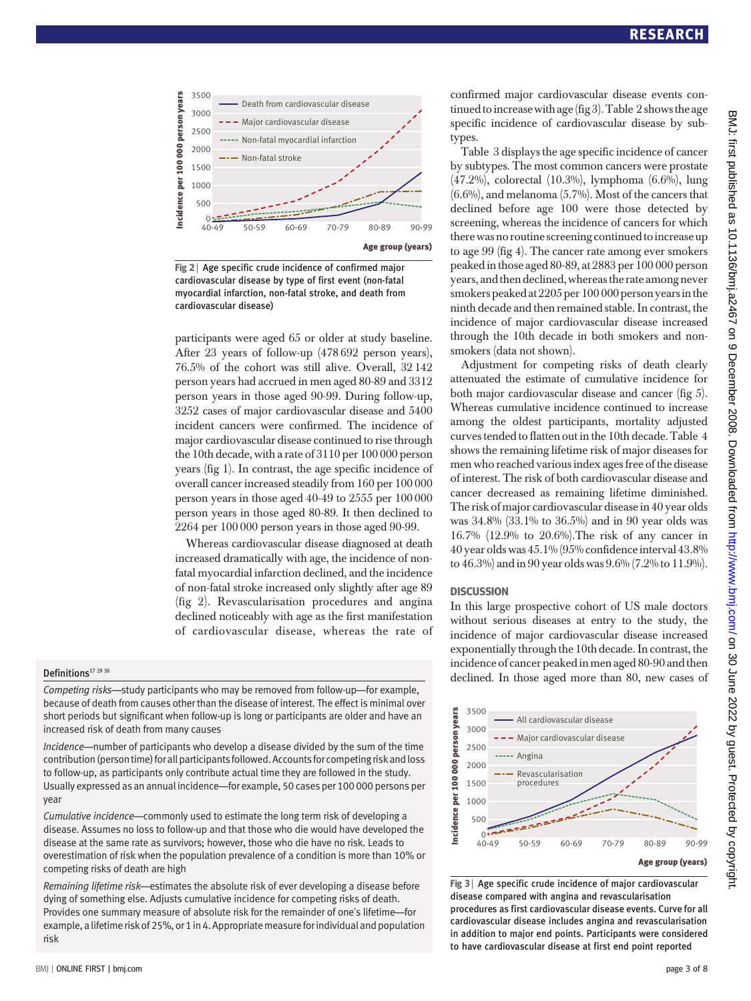

Fig 2 | Age specific crude incidence of confirmed major cardiovascular disease by type of first event (non-fatal myocardial infarction, non-fatal stroke, and death from cardiovascular disease)

participants were aged 65 or older at study baseline. After 23 years of follow-up (478 692 person years), 76.5% of the cohort was still alive. Overall, 32 142 person years had accrued in men aged 80-89 and 3312 person years in those aged 90-99. During follow-up, 3252 cases of major cardiovascular disease and 5400 incident cancers were confirmed. The incidence of major cardiovascular disease continued to rise through the 10th decade, with a rate of 3110 per 100 000 person years (fig 1). In contrast, the age specific incidence of overall cancer increased steadily from 160 per 100 000 person years in those aged 40-49 to 2555 per 100 000 person years in those aged 80-89. It then declined to 2264 per 100 000 person years in those aged 90-99.

Whereas cardiovascular disease diagnosed at death increased dramatically with age, the incidence of nonfatal myocardial infarction declined, and the incidence of non-fatal stroke increased only slightly after age 89 (fig 2). Revascularisation procedures and angina declined noticeably with age as the first manifestation of cardiovascular disease, whereas the rate of

#### Definitions<sup>17</sup> 29 30

Competing risks—study participants who may be removed from follow-up—for example, because of death from causes other than the disease of interest. The effect is minimal over short periods but significant when follow-up is long or participants are older and have an increased risk of death from many causes

Incidence—number of participants who develop a disease divided by the sum of the time contribution (person time) for all participants followed. Accounts for competing risk and loss to follow-up, as participants only contribute actual time they are followed in the study. Usually expressed as an annual incidence—for example, 50 cases per 100 000 persons per year

Cumulative incidence—commonly used to estimate the long term risk of developing a disease. Assumes no loss to follow-up and that those who die would have developed the disease at the same rate as survivors; however, those who die have no risk. Leads to overestimation of risk when the population prevalence of a condition is more than 10% or competing risks of death are high

Remaining lifetime risk—estimates the absolute risk of ever developing a disease before dying of something else. Adjusts cumulative incidence for competing risks of death. Provides one summary measure of absolute risk for the remainder of one's lifetime—for example, a lifetime risk of 25%, or 1 in 4. Appropriate measure for individual and population risk

confirmed major cardiovascular disease events continued to increase with age (fig 3). Table 2 shows the age specific incidence of cardiovascular disease by subtypes.

Table 3 displays the age specific incidence of cancer by subtypes. The most common cancers were prostate (47.2%), colorectal (10.3%), lymphoma (6.6%), lung (6.6%), and melanoma (5.7%). Most of the cancers that declined before age 100 were those detected by screening, whereas the incidence of cancers for which there was no routine screening continued to increase up to age 99 (fig 4). The cancer rate among ever smokers peaked in those aged 80-89, at 2883 per 100 000 person years, and then declined, whereas the rate among never smokers peaked at 2205 per 100 000 person years inthe ninth decade and then remained stable. In contrast, the incidence of major cardiovascular disease increased through the 10th decade in both smokers and nonsmokers (data not shown).

Adjustment for competing risks of death clearly attenuated the estimate of cumulative incidence for both major cardiovascular disease and cancer (fig 5). Whereas cumulative incidence continued to increase among the oldest participants, mortality adjusted curves tended to flatten out in the 10th decade. Table 4 shows the remaining lifetime risk of major diseases for men who reached various index ages free of the disease of interest. The risk of both cardiovascular disease and cancer decreased as remaining lifetime diminished. The risk of major cardiovascular disease in 40 year olds was 34.8% (33.1% to 36.5%) and in 90 year olds was 16.7% (12.9% to 20.6%).The risk of any cancer in 40 year olds was 45.1% (95% confidence interval 43.8% to 46.3%) and in 90 year olds was 9.6% (7.2% to 11.9%).

#### **DISCUSSION**

In this large prospective cohort of US male doctors without serious diseases at entry to the study, the incidence of major cardiovascular disease increased exponentially through the 10th decade. In contrast, the incidence of cancer peaked in men aged 80-90 and then declined. In those aged more than 80, new cases of



Fig 3 | Age specific crude incidence of major cardiovascular disease compared with angina and revascularisation procedures as first cardiovascular disease events. Curve for all cardiovascular disease includes angina and revascularisation in addition to major end points. Participants were considered to have cardiovascular disease at first end point reported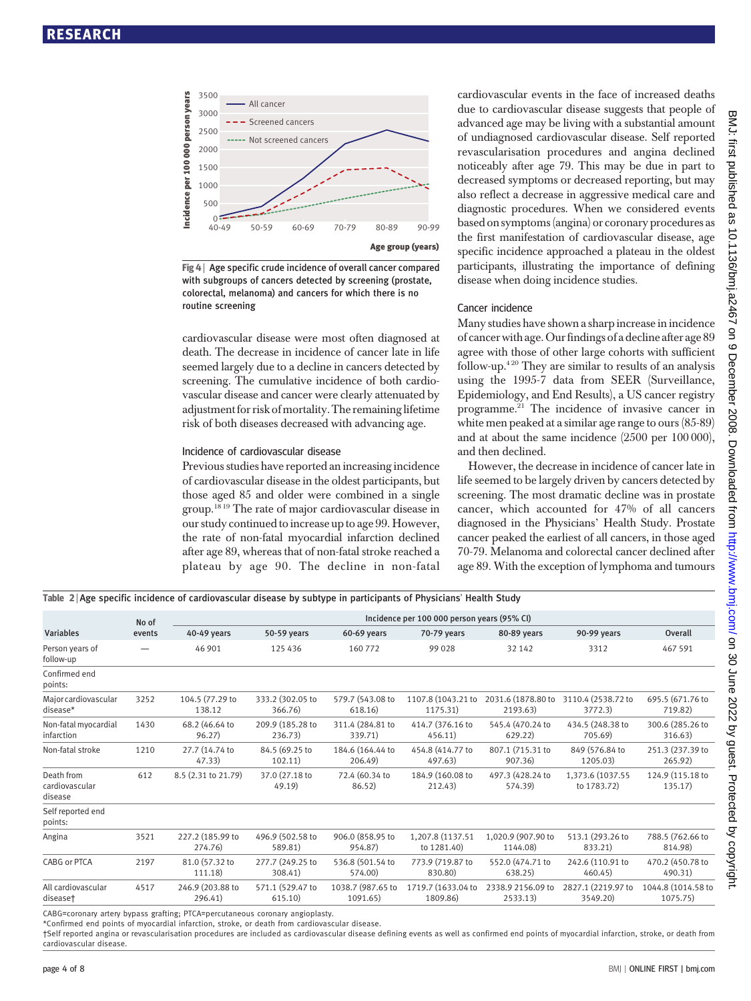

Fig 4 | Age specific crude incidence of overall cancer compared with subgroups of cancers detected by screening (prostate, colorectal, melanoma) and cancers for which there is no routine screening

cardiovascular disease were most often diagnosed at death. The decrease in incidence of cancer late in life seemed largely due to a decline in cancers detected by screening. The cumulative incidence of both cardiovascular disease and cancer were clearly attenuated by adjustmentfor risk of mortality. The remaining lifetime risk of both diseases decreased with advancing age.

#### Incidence of cardiovascular disease

Previous studies have reported an increasing incidence of cardiovascular disease in the oldest participants, but those aged 85 and older were combined in a single group.18 19 The rate of major cardiovascular disease in our study continued to increase up to age 99. However, the rate of non-fatal myocardial infarction declined after age 89, whereas that of non-fatal stroke reached a plateau by age 90. The decline in non-fatal cardiovascular events in the face of increased deaths due to cardiovascular disease suggests that people of advanced age may be living with a substantial amount of undiagnosed cardiovascular disease. Self reported revascularisation procedures and angina declined noticeably after age 79. This may be due in part to decreased symptoms or decreased reporting, but may also reflect a decrease in aggressive medical care and diagnostic procedures. When we considered events based on symptoms(angina) or coronary procedures as the first manifestation of cardiovascular disease, age specific incidence approached a plateau in the oldest participants, illustrating the importance of defining disease when doing incidence studies.

#### Cancer incidence

Many studies have shown a sharp increase in incidence of cancer with age. Ourfindings of a decline after age 89 agree with those of other large cohorts with sufficient follow-up.<sup>420</sup> They are similar to results of an analysis using the 1995-7 data from SEER (Surveillance, Epidemiology, and End Results), a US cancer registry programme.21 The incidence of invasive cancer in white men peaked at a similar age range to ours (85-89) and at about the same incidence (2500 per 100 000), and then declined.

However, the decrease in incidence of cancer late in life seemed to be largely driven by cancers detected by screening. The most dramatic decline was in prostate cancer, which accounted for 47% of all cancers diagnosed in the Physicians' Health Study. Prostate cancer peaked the earliest of all cancers, in those aged 70-79. Melanoma and colorectal cancer declined after age 89. With the exception of lymphoma and tumours

Table 2 <sup>|</sup> Age specific incidence of cardiovascular disease by subtype in participants of Physicians' Health Study Variables No of events Incidence per 100 000 person years (95% CI) 40-49 years 50-59 years 60-69 years 70-79 years 80-89 years 90-99 years Overall Person years of follow-up — 46 901 125 436 160 772 99 028 32 142 3312 467 591 Confirmed end points: Major cardiovascular disease\* 3252 104.5 (77.29 to 138.12 333.2 (302.05 to 366.76) 579.7 (543.08 to 618.16) 1107.8 (1043.21 to 1175.31) 2031.6 (1878.80 to 2193.63) 3110.4 (2538.72 to 3772.3) 695.5 (671.76 to 719.82) Non-fatal myocardial infarction 1430 68.2 (46.64 to 96.27) 209.9 (185.28 to 236.73) 311.4 (284.81 to 339.71) 414.7 (376.16 to 456.11) 545.4 (470.24 to 629.22) 434.5 (248.38 to 705.69) 300.6 (285.26 to 316.63) Non-fatal stroke 1210 27.7 (14.74 to 47.33) 84.5 (69.25 to 102.11) 184.6 (164.44 to 206.49) 454.8 (414.77 to 497.63) 807.1 (715.31 to 907.36) 849 (576.84 to 1205.03) 251.3 (237.39 to 265.92) Death from cardiovascular disease 612 8.5 (2.31 to 21.79) 37.0 (27.18 to 49.19) 72.4 (60.34 to 86.52) 184.9 (160.08 to 212.43) 497.3 (428.24 to 574.39) 1,373.6 (1037.55 to 1783.72) 124.9 (115.18 to 135.17) Self reported end points: Angina 3521 227.2 (185.99 to 274.76) 496.9 (502.58 to 589.81) 906.0 (858.95 to 954.87) 1,207.8 (1137.51 to 1281.40) 1,020.9 (907.90 to 1144.08) 513.1 (293.26 to 833.21) 788.5 (762.66 to 814.98) CABG or PTCA 2197 81.0 (57.32 to 111.18) 277.7 (249.25 to 308.41) 536.8 (501.54 to 574.00) 773.9 (719.87 to 830.80) 552.0 (474.71 to 638.25) 242.6 (110.91 to 460.45) 470.2 (450.78 to 490.31) All cardiovascular disease† 4517 246.9 (203.88 to 296.41) 571.1 (529.47 to 615.10) 1038.7 (987.65 to 1091.65) 1719.7 (1633.04 to 1809.86) 2338.9 2156.09 to 2533.13) 2827.1 (2219.97 to 3549.20) 1044.8 (1014.58 to 1075.75)

CABG=coronary artery bypass grafting; PTCA=percutaneous coronary angioplasty.

\*Confirmed end points of myocardial infarction, stroke, or death from cardiovascular disease.

†Self reported angina or revascularisation procedures are included as cardiovascular disease defining events as well as confirmed end points of myocardial infarction, stroke, or death from cardiovascular disease.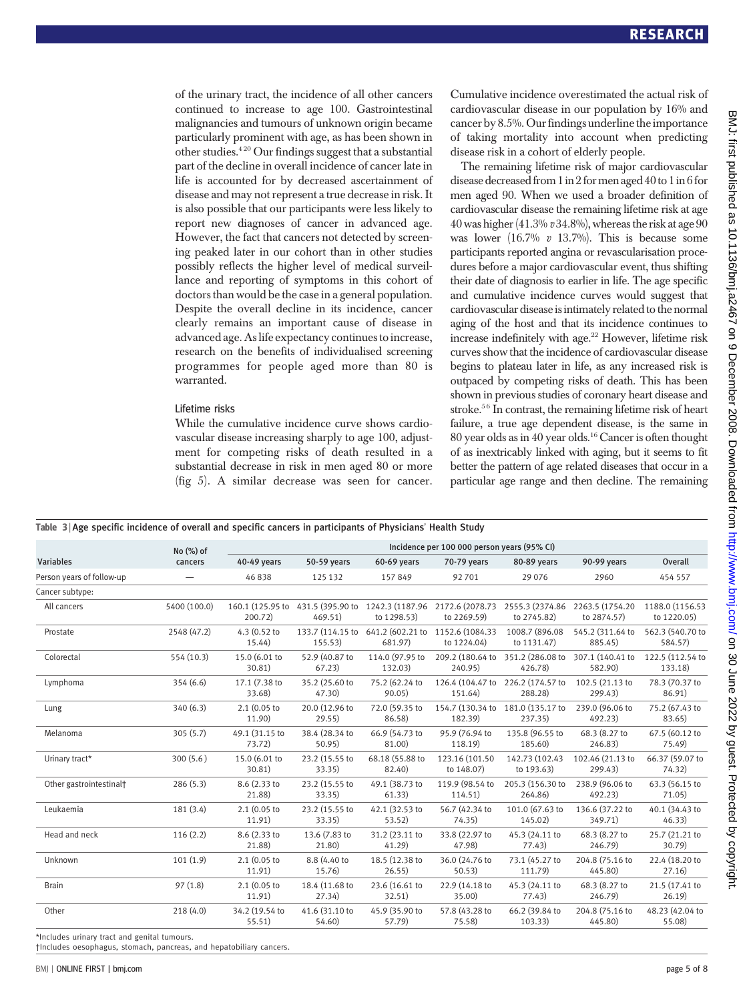of the urinary tract, the incidence of all other cancers continued to increase to age 100. Gastrointestinal malignancies and tumours of unknown origin became particularly prominent with age, as has been shown in other studies.4 20 Our findings suggest that a substantial part of the decline in overall incidence of cancer late in life is accounted for by decreased ascertainment of disease and may not represent a true decrease in risk. It is also possible that our participants were less likely to report new diagnoses of cancer in advanced age. However, the fact that cancers not detected by screening peaked later in our cohort than in other studies possibly reflects the higher level of medical surveillance and reporting of symptoms in this cohort of doctors than would be the case in a general population. Despite the overall decline in its incidence, cancer clearly remains an important cause of disease in advanced age. As life expectancy continues to increase, research on the benefits of individualised screening programmes for people aged more than 80 is warranted.

#### Lifetime risks

While the cumulative incidence curve shows cardiovascular disease increasing sharply to age 100, adjustment for competing risks of death resulted in a substantial decrease in risk in men aged 80 or more (fig 5). A similar decrease was seen for cancer.

Cumulative incidence overestimated the actual risk of cardiovascular disease in our population by 16% and cancer by 8.5%. Our findings underline the importance of taking mortality into account when predicting disease risk in a cohort of elderly people.

The remaining lifetime risk of major cardiovascular disease decreased from 1 in 2 for men aged 40 to 1 in 6 for men aged 90. When we used a broader definition of cardiovascular disease the remaining lifetime risk at age 40 was higher (41.3%  $v$  34.8%), whereas the risk at age 90 was lower  $(16.7\% \text{ v } 13.7\%)$ . This is because some participants reported angina or revascularisation procedures before a major cardiovascular event, thus shifting their date of diagnosis to earlier in life. The age specific and cumulative incidence curves would suggest that cardiovascular disease is intimately related to the normal aging of the host and that its incidence continues to increase indefinitely with age.<sup>22</sup> However, lifetime risk curves show that the incidence of cardiovascular disease begins to plateau later in life, as any increased risk is outpaced by competing risks of death. This has been shown in previous studies of coronary heart disease and stroke.<sup>56</sup> In contrast, the remaining lifetime risk of heart failure, a true age dependent disease, is the same in 80 year olds as in 40 year olds.16 Cancer is often thought of as inextricably linked with aging, but it seems to fit better the pattern of age related diseases that occur in a particular age range and then decline. The remaining

|  |  |  |  | Table 3   Age specific incidence of overall and specific cancers in participants of Physicians' Health Study |  |  |
|--|--|--|--|--------------------------------------------------------------------------------------------------------------|--|--|
|  |  |  |  |                                                                                                              |  |  |

|                           | Incidence per 100 000 person years (95% CI) |                          |                             |                                                                                  |                                |                                                |                             |                                |
|---------------------------|---------------------------------------------|--------------------------|-----------------------------|----------------------------------------------------------------------------------|--------------------------------|------------------------------------------------|-----------------------------|--------------------------------|
| <b>Variables</b>          | No (%) of<br>cancers                        | 40-49 years              | 50-59 years                 | 60-69 years                                                                      | 70-79 years                    | 80-89 years                                    | 90-99 years                 | <b>Overall</b>                 |
| Person years of follow-up | $\hspace{0.1mm}-\hspace{0.1mm}$             | 46838                    | 125 132                     | 157849                                                                           | 92701                          | 29 0 76                                        | 2960                        | 454 557                        |
| Cancer subtype:           |                                             |                          |                             |                                                                                  |                                |                                                |                             |                                |
| All cancers               | 5400 (100.0)                                | 200.72)                  | 469.51)                     | 160.1 (125.95 to 431.5 (395.90 to 1242.3 (1187.96 2172.6 (2078.73<br>to 1298.53) | to 2269.59)                    | 2555.3 (2374.86 2263.5 (1754.20<br>to 2745.82) | to 2874.57)                 | 1188.0 (1156.53<br>to 1220.05) |
| Prostate                  | 2548 (47.2)                                 | 4.3 (0.52 to<br>15.44)   | 133.7 (114.15 to<br>155.53) | 641.2 (602.21 to<br>681.97)                                                      | 1152.6 (1084.33<br>to 1224.04) | 1008.7 (896.08<br>to 1131.47)                  | 545.2 (311.64 to<br>885.45) | 562.3 (540.70 to<br>584.57)    |
| Colorectal                | 554 (10.3)                                  | 15.0 (6.01 to<br>30.81)  | 52.9 (40.87 to<br>67.23)    | 114.0 (97.95 to<br>132.03)                                                       | 209.2 (180.64 to<br>240.95)    | 351.2 (286.08 to<br>426.78)                    | 307.1 (140.41 to<br>582.90) | 122.5 (112.54 to<br>133.18)    |
| Lymphoma                  | 354(6.6)                                    | 17.1 (7.38 to<br>33.68)  | 35.2 (25.60 to<br>47.30     | 75.2 (62.24 to<br>90.05                                                          | 151.64)                        | 126.4 (104.47 to 226.2 (174.57 to<br>288.28)   | 102.5 (21.13 to<br>299.43)  | 78.3 (70.37 to<br>86.91)       |
| Lung                      | 340(6.3)                                    | 2.1(0.05)<br>11.90)      | 20.0 (12.96 to<br>29.55     | 72.0 (59.35 to<br>86.58)                                                         | 182.39)                        | 154.7 (130.34 to 181.0 (135.17 to<br>237.35    | 239.0 (96.06 to<br>492.23)  | 75.2 (67.43 to<br>83.65)       |
| Melanoma                  | 305(5.7)                                    | 49.1 (31.15 to<br>73.72) | 38.4 (28.34 to<br>50.95     | 66.9 (54.73 to<br>81.00)                                                         | 95.9 (76.94 to<br>118.19)      | 135.8 (96.55 to<br>185.60)                     | 68.3 (8.27 to<br>246.83)    | 67.5 (60.12 to<br>75.49)       |
| Urinary tract*            | 300(5.6)                                    | 15.0 (6.01 to<br>30.81)  | 23.2 (15.55 to<br>33.35)    | 68.18 (55.88 to<br>82.40)                                                        | 123.16 (101.50<br>to 148.07)   | 142.73 (102.43<br>to 193.63)                   | 102.46 (21.13 to<br>299.43) | 66.37 (59.07 to<br>74.32)      |
| Other gastrointestinal†   | 286(5.3)                                    | 8.6 (2.33 to<br>21.88)   | 23.2 (15.55 to<br>33.35)    | 49.1 (38.73 to<br>61.33)                                                         | 119.9 (98.54 to<br>114.51)     | 205.3 (156.30 to<br>264.86)                    | 238.9 (96.06 to<br>492.23)  | 63.3 (56.15 to<br>71.05)       |
| Leukaemia                 | 181(3.4)                                    | 2.1(0.05)<br>11.91)      | 23.2 (15.55 to<br>33.35)    | 42.1 (32.53 to<br>53.52                                                          | 56.7 (42.34 to<br>74.35)       | 101.0 (67.63 to<br>145.02)                     | 136.6 (37.22 to<br>349.71)  | 40.1 (34.43 to<br>46.33)       |
| Head and neck             | 116(2.2)                                    | 8.6 (2.33 to<br>21.88)   | 13.6 (7.83 to<br>21.80)     | 31.2 (23.11 to<br>41.29                                                          | 33.8 (22.97 to<br>47.98)       | 45.3 (24.11 to<br>77.43                        | 68.3 (8.27 to<br>246.79)    | 25.7 (21.21 to<br>30.79)       |
| Unknown                   | 101(1.9)                                    | 2.1(0.05)<br>11.91)      | 8.8 (4.40 to<br>15.76)      | 18.5 (12.38 to<br>26.55)                                                         | 36.0 (24.76 to<br>50.53)       | 73.1 (45.27 to<br>111.79)                      | 204.8 (75.16 to<br>445.80)  | 22.4 (18.20 to<br>27.16)       |
| <b>Brain</b>              | 97(1.8)                                     | 2.1 (0.05 to<br>11.91)   | 18.4 (11.68 to<br>27.34)    | 23.6 (16.61 to<br>32.51)                                                         | 22.9 (14.18 to<br>35.00)       | 45.3 (24.11 to<br>77.43                        | 68.3 (8.27 to<br>246.79)    | 21.5 (17.41 to<br>26.19)       |
| Other                     | 218(4.0)                                    | 34.2 (19.54 to<br>55.51) | 41.6 (31.10 to<br>54.60)    | 45.9 (35.90 to<br>57.79)                                                         | 57.8 (43.28 to<br>75.58)       | 66.2 (39.84 to<br>103.33                       | 204.8 (75.16 to<br>445.80)  | 48.23 (42.04 to<br>55.08)      |

\*Includes urinary tract and genital tumours.

†Includes oesophagus, stomach, pancreas, and hepatobiliary cancers.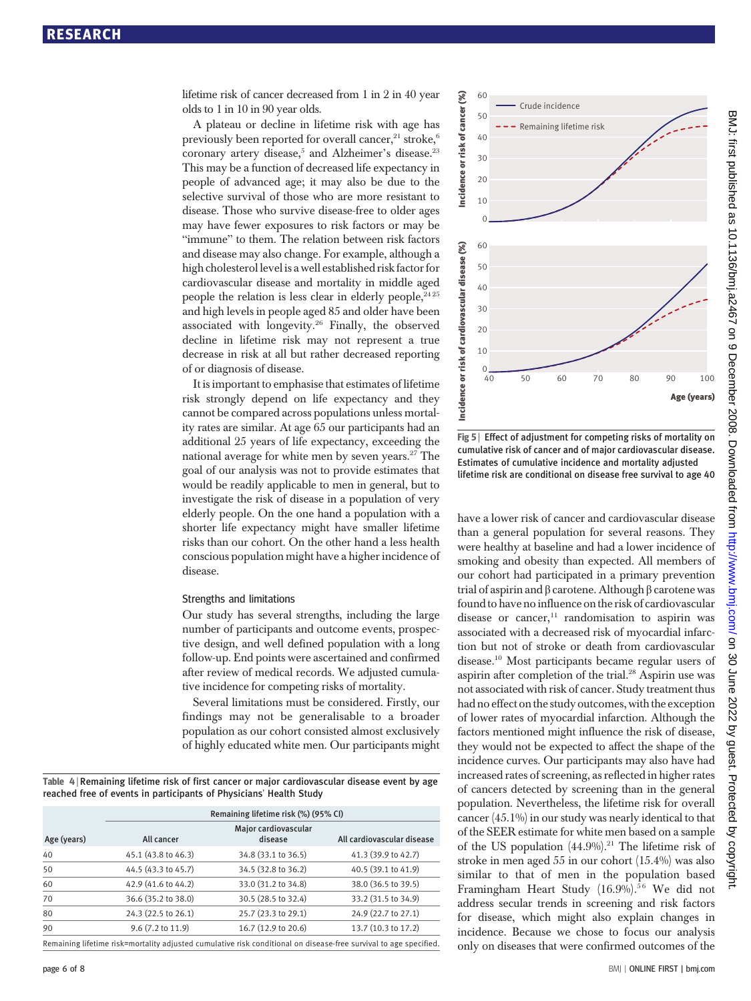lifetime risk of cancer decreased from 1 in 2 in 40 year olds to 1 in 10 in 90 year olds.

A plateau or decline in lifetime risk with age has previously been reported for overall cancer,<sup>21</sup> stroke,<sup>6</sup> coronary artery disease,<sup>5</sup> and Alzheimer's disease.<sup>23</sup> This may be a function of decreased life expectancy in people of advanced age; it may also be due to the selective survival of those who are more resistant to disease. Those who survive disease-free to older ages may have fewer exposures to risk factors or may be "immune" to them. The relation between risk factors and disease may also change. For example, although a high cholesterol level is a well established risk factor for cardiovascular disease and mortality in middle aged people the relation is less clear in elderly people,  $2425$ and high levels in people aged 85 and older have been associated with longevity.<sup>26</sup> Finally, the observed decline in lifetime risk may not represent a true decrease in risk at all but rather decreased reporting of or diagnosis of disease.

It is important to emphasise that estimates of lifetime risk strongly depend on life expectancy and they cannot be compared across populations unless mortality rates are similar. At age 65 our participants had an additional 25 years of life expectancy, exceeding the national average for white men by seven years.27 The goal of our analysis was not to provide estimates that would be readily applicable to men in general, but to investigate the risk of disease in a population of very elderly people. On the one hand a population with a shorter life expectancy might have smaller lifetime risks than our cohort. On the other hand a less health conscious population might have a higher incidence of disease.

#### Strengths and limitations

Our study has several strengths, including the large number of participants and outcome events, prospective design, and well defined population with a long follow-up. End points were ascertained and confirmed after review of medical records. We adjusted cumulative incidence for competing risks of mortality.

Several limitations must be considered. Firstly, our findings may not be generalisable to a broader population as our cohort consisted almost exclusively of highly educated white men. Our participants might

Table 4 <sup>|</sup> Remaining lifetime risk of first cancer or major cardiovascular disease event by age reached free of events in participants of Physicians' Health Study

|                                                                                                                   | Remaining lifetime risk (%) (95% CI) |                                 |                            |  |  |  |
|-------------------------------------------------------------------------------------------------------------------|--------------------------------------|---------------------------------|----------------------------|--|--|--|
| Age (years)                                                                                                       | All cancer                           | Major cardiovascular<br>disease | All cardiovascular disease |  |  |  |
| 40                                                                                                                | 45.1 (43.8 to 46.3)                  | 34.8 (33.1 to 36.5)             | 41.3 (39.9 to 42.7)        |  |  |  |
| 50                                                                                                                | 44.5 (43.3 to 45.7)                  | 34.5 (32.8 to 36.2)             | 40.5 (39.1 to 41.9)        |  |  |  |
| 60                                                                                                                | 42.9 (41.6 to 44.2)                  | 33.0 (31.2 to 34.8)             | 38.0 (36.5 to 39.5)        |  |  |  |
| 70                                                                                                                | 36.6 (35.2 to 38.0)                  | 30.5 (28.5 to 32.4)             | 33.2 (31.5 to 34.9)        |  |  |  |
| 80                                                                                                                | 24.3 (22.5 to 26.1)                  | 25.7 (23.3 to 29.1)             | 24.9 (22.7 to 27.1)        |  |  |  |
| 90                                                                                                                | 9.6 (7.2 to 11.9)                    | 16.7 (12.9 to 20.6)             | 13.7 (10.3 to 17.2)        |  |  |  |
| Remaining lifetime risk=mortality adjusted cumulative risk conditional on disease-free survival to age specified. |                                      |                                 |                            |  |  |  |

 $\Omega$ 20 30 40 50 60 10 Crude incidence Remaining lifetime risk Age (years) Incidence or risk of cardiovascular disease (%) 40 50 60 70 80 90 100  $0 - 0$ 20  $30$ 40 50  $60$ 10

Fig 5 | Effect of adjustment for competing risks of mortality on cumulative risk of cancer and of major cardiovascular disease. Estimates of cumulative incidence and mortality adjusted lifetime risk are conditional on disease free survival to age 40

have a lower risk of cancer and cardiovascular disease than a general population for several reasons. They were healthy at baseline and had a lower incidence of smoking and obesity than expected. All members of our cohort had participated in a primary prevention trial of aspirin and β carotene. Although β carotene was found to have no influence on the risk of cardiovascular disease or cancer, $11$  randomisation to aspirin was associated with a decreased risk of myocardial infarction but not of stroke or death from cardiovascular disease.10 Most participants became regular users of aspirin after completion of the trial.<sup>28</sup> Aspirin use was not associated with risk of cancer. Study treatment thus had no effect on the study outcomes, with the exception of lower rates of myocardial infarction. Although the factors mentioned might influence the risk of disease, they would not be expected to affect the shape of the incidence curves. Our participants may also have had increased rates of screening, as reflected in higher rates of cancers detected by screening than in the general population. Nevertheless, the lifetime risk for overall cancer (45.1%) in our study was nearly identical to that of the SEER estimate for white men based on a sample of the US population  $(44.9\%)$ .<sup>21</sup> The lifetime risk of stroke in men aged 55 in our cohort (15.4%) was also similar to that of men in the population based Framingham Heart Study (16.9%).<sup>56</sup> We did not address secular trends in screening and risk factors for disease, which might also explain changes in incidence. Because we chose to focus our analysis only on distinct the matter of the Confirmed SP and the Incidence of the IS point of the IN point of the IN point of the IN point of the IN point of the IN point of the IN point of the IN point of the IN point of the IN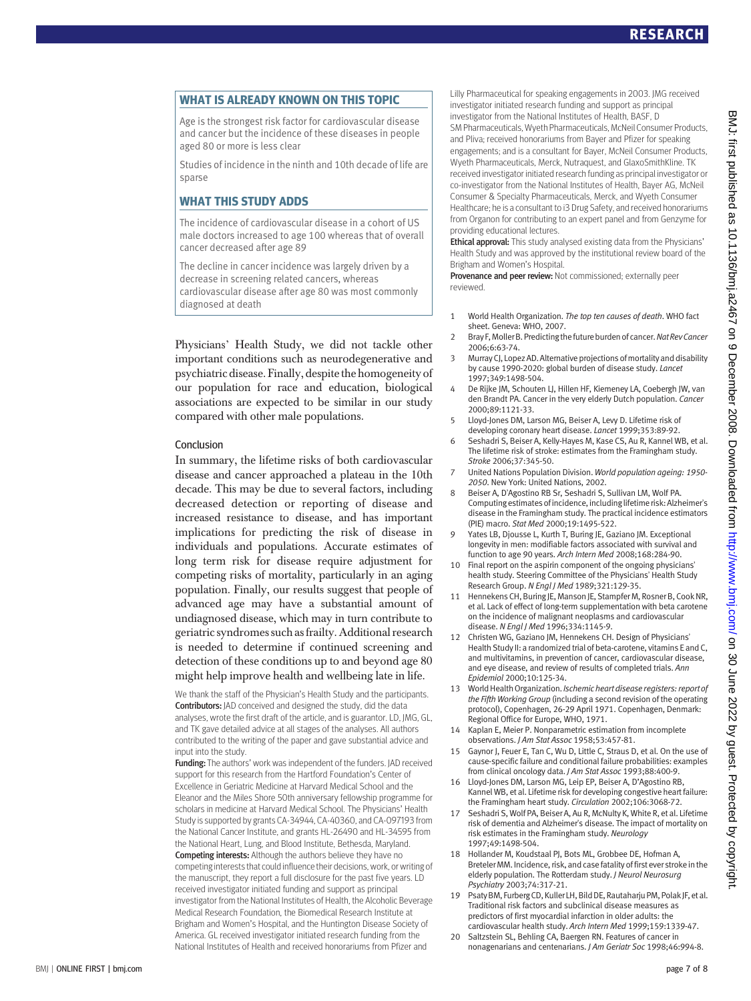WHAT IS ALREADY KNOWN ON THIS TOPIC Age is the strongest risk factor for cardiovascular disease and cancer but the incidence of these diseases in people aged 80 or more is less clear

Studies of incidence in the ninth and 10th decade of life are sparse

WHAT THIS STUDY ADDS The incidence of cardiovascular disease in a cohort of US male doctors increased to age 100 whereas that of overall cancer decreased after age 89

The decline in cancer incidence was largely driven by a decrease in screening related cancers, whereas cardiovascular disease after age 80 was most commonly diagnosed at death

Physicians' Health Study, we did not tackle other important conditions such as neurodegenerative and psychiatric disease. Finally, despite the homogeneity of our population for race and education, biological associations are expected to be similar in our study compared with other male populations.

#### Conclusion

In summary, the lifetime risks of both cardiovascular disease and cancer approached a plateau in the 10th decade. This may be due to several factors, including decreased detection or reporting of disease and increased resistance to disease, and has important implications for predicting the risk of disease in individuals and populations. Accurate estimates of long term risk for disease require adjustment for competing risks of mortality, particularly in an aging population. Finally, our results suggest that people of advanced age may have a substantial amount of undiagnosed disease, which may in turn contribute to geriatric syndromes such asfrailty. Additional research is needed to determine if continued screening and detection of these conditions up to and beyond age 80 might help improve health and wellbeing late in life.

We thank the staff of the Physician's Health Study and the participants. Contributors: JAD conceived and designed the study, did the data analyses, wrote the first draft of the article, and is guarantor. LD, JMG, GL, and TK gave detailed advice at all stages of the analyses. All authors contributed to the writing of the paper and gave substantial advice and input into the study.

Funding: The authors' work was independent of the funders. JAD received support for this research from the Hartford Foundation's Center of Excellence in Geriatric Medicine at Harvard Medical School and the Eleanor and the Miles Shore 50th anniversary fellowship programme for scholars in medicine at Harvard Medical School. The Physicians' Health Study is supported by grants CA-34944, CA-40360, and CA-097193 from the National Cancer Institute, and grants HL-26490 and HL-34595 from the National Heart, Lung, and Blood Institute, Bethesda, Maryland. Competing interests: Although the authors believe they have no competing interests that could influence their decisions, work, or writing of the manuscript, they report a full disclosure for the past five years. LD received investigator initiated funding and support as principal investigator from the National Institutes of Health, the Alcoholic Beverage Medical Research Foundation, the Biomedical Research Institute at Brigham and Women's Hospital, and the Huntington Disease Society of America. GL received investigator initiated research funding from the National Institutes of Health and received honorariums from Pfizer and

Lilly Pharmaceutical for speaking engagements in 2003. JMG received investigator initiated research funding and support as principal investigator from the National Institutes of Health, BASF, D SM Pharmaceuticals, Wyeth Pharmaceuticals, McNeil Consumer Products, and Pliva; received honorariums from Bayer and Pfizer for speaking engagements; and is a consultant for Bayer, McNeil Consumer Products, Wyeth Pharmaceuticals, Merck, Nutraquest, and GlaxoSmithKline. TK received investigator initiated research funding as principal investigator or co-investigator from the National Institutes of Health, Bayer AG, McNeil Consumer & Specialty Pharmaceuticals, Merck, and Wyeth Consumer Healthcare; he is a consultant to i3 Drug Safety, and received honorariums from Organon for contributing to an expert panel and from Genzyme for providing educational lectures.

Ethical approval: This study analysed existing data from the Physicians' Health Study and was approved by the institutional review board of the Brigham and Women's Hospital.

Provenance and peer review: Not commissioned; externally peer reviewed.

- 1 World Health Organization. The top ten causes of death. WHO fact sheet. Geneva: WHO, 2007.
- 2 Bray F, Moller B. Predicting the future burden of cancer. Nat Rev Cancer 2006;6:63-74.
- 3 Murray CJ, LopezAD.Alternative projections ofmortality and disability by cause 1990-2020: global burden of disease study. Lancet 1997;349:1498-504.
- 4 De Rijke JM, Schouten LJ, Hillen HF, Kiemeney LA, Coebergh JW, van den Brandt PA. Cancer in the very elderly Dutch population. Cancer 2000;89:1121-33.
- 5 Lloyd-Jones DM, Larson MG, Beiser A, Levy D. Lifetime risk of developing coronary heart disease. Lancet 1999;353:89-92.
- 6 Seshadri S, Beiser A, Kelly-Hayes M, Kase CS, Au R, Kannel WB, et al. The lifetime risk of stroke: estimates from the Framingham study. Stroke 2006;37:345-50.
- United Nations Population Division. World population ageing: 1950-2050. New York: United Nations, 2002.
- 8 Beiser A, D'Agostino RB Sr, Seshadri S, Sullivan LM, Wolf PA. Computing estimates of incidence, including lifetime risk: Alzheimer's disease in the Framingham study. The practical incidence estimators (PIE) macro. Stat Med 2000;19:1495-522.
- Yates LB, Djousse L, Kurth T, Buring JE, Gaziano JM. Exceptional longevity in men: modifiable factors associated with survival and function to age 90 years. Arch Intern Med 2008;168:284-90.
- 10 Final report on the aspirin component of the ongoing physicians' health study. Steering Committee of the Physicians' Health Study Research Group. N Engl J Med 1989;321:129-35.
- 11 Hennekens CH, Buring JE, Manson JE, Stampfer M, Rosner B, Cook NR, et al. Lack of effect of long-term supplementation with beta carotene on the incidence of malignant neoplasms and cardiovascular disease. N Engl J Med 1996;334:1145-9.
- 12 Christen WG, Gaziano JM, Hennekens CH. Design of Physicians' Health Study II: a randomized trial of beta-carotene, vitamins E and C, and multivitamins, in prevention of cancer, cardiovascular disease, and eye disease, and review of results of completed trials. Ann Epidemiol 2000;10:125-34.
- 13 World Health Organization. Ischemic heart disease registers: report of the Fifth Working Group (including a second revision of the operating protocol), Copenhagen, 26-29 April 1971. Copenhagen, Denmark: Regional Office for Europe, WHO, 1971.
- 14 Kaplan E, Meier P. Nonparametric estimation from incomplete observations. J Am Stat Assoc 1958;53:457-81.
- 15 Gaynor J, Feuer E, Tan C, Wu D, Little C, Straus D, et al. On the use of cause-specific failure and conditional failure probabilities: examples from clinical oncology data. J Am Stat Assoc 1993;88:400-9.
- 16 Lloyd-Jones DM, Larson MG, Leip EP, Beiser A, D'Agostino RB, Kannel WB, et al. Lifetime risk for developing congestive heart failure: the Framingham heart study. Circulation 2002;106:3068-72.
- 17 Seshadri S, Wolf PA, Beiser A, Au R, McNulty K, White R, et al. Lifetime risk of dementia and Alzheimer's disease. The impact of mortality on risk estimates in the Framingham study. Neurology 1997;49:1498-504.
- 18 Hollander M, Koudstaal PJ, Bots ML, Grobbee DE, Hofman A, Breteler MM. Incidence, risk, and case fatality of first ever stroke in the elderly population. The Rotterdam study. J Neurol Neurosurg Psychiatry 2003;74:317-21.
- 19 PsatyBM, FurbergCD, KullerLH,BildDE, Rautaharju PM, PolakJF, et al. Traditional risk factors and subclinical disease measures as predictors of first myocardial infarction in older adults: the cardiovascular health study. Arch Intern Med 1999;159:1339-47.
- 20 Saltzstein SL, Behling CA, Baergen RN. Features of cancer in nonagenarians and centenarians. J Am Geriatr Soc 1998;46:994-8.